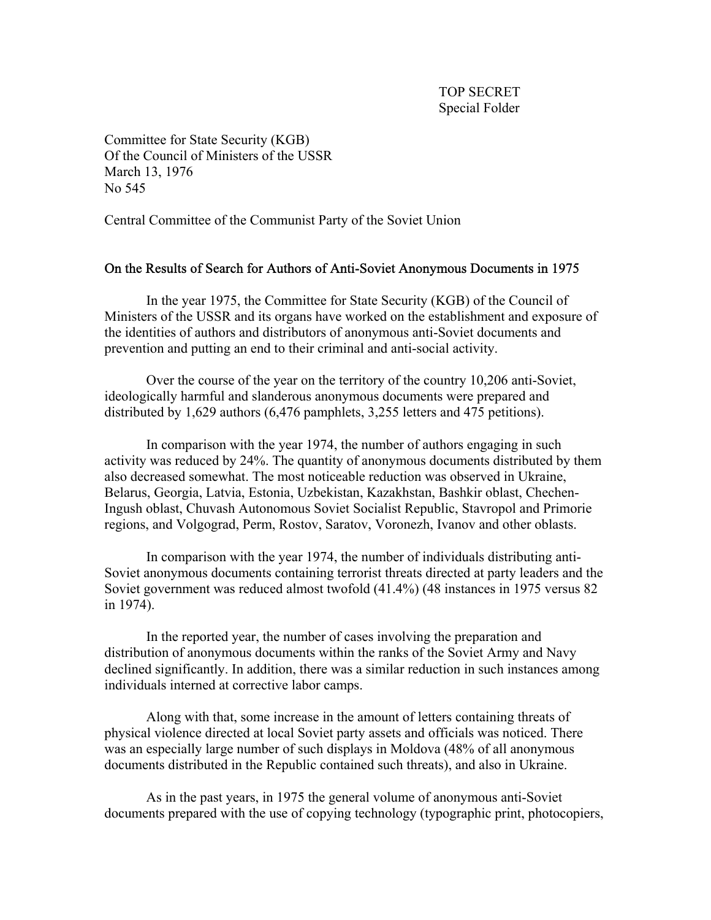Committee for State Security (KGB) Of the Council of Ministers of the USSR March 13, 1976 No 545

Central Committee of the Communist Party of the Soviet Union

## On the Results of Search for Authors of Anti-Soviet Anonymous Documents in 1975

 In the year 1975, the Committee for State Security (KGB) of the Council of Ministers of the USSR and its organs have worked on the establishment and exposure of the identities of authors and distributors of anonymous anti-Soviet documents and prevention and putting an end to their criminal and anti-social activity.

 Over the course of the year on the territory of the country 10,206 anti-Soviet, ideologically harmful and slanderous anonymous documents were prepared and distributed by 1,629 authors (6,476 pamphlets, 3,255 letters and 475 petitions).

 In comparison with the year 1974, the number of authors engaging in such activity was reduced by 24%. The quantity of anonymous documents distributed by them also decreased somewhat. The most noticeable reduction was observed in Ukraine, Belarus, Georgia, Latvia, Estonia, Uzbekistan, Kazakhstan, Bashkir oblast, Chechen-Ingush oblast, Chuvash Autonomous Soviet Socialist Republic, Stavropol and Primorie regions, and Volgograd, Perm, Rostov, Saratov, Voronezh, Ivanov and other oblasts.

 In comparison with the year 1974, the number of individuals distributing anti-Soviet anonymous documents containing terrorist threats directed at party leaders and the Soviet government was reduced almost twofold (41.4%) (48 instances in 1975 versus 82 in 1974).

 In the reported year, the number of cases involving the preparation and distribution of anonymous documents within the ranks of the Soviet Army and Navy declined significantly. In addition, there was a similar reduction in such instances among individuals interned at corrective labor camps.

 Along with that, some increase in the amount of letters containing threats of physical violence directed at local Soviet party assets and officials was noticed. There was an especially large number of such displays in Moldova (48% of all anonymous documents distributed in the Republic contained such threats), and also in Ukraine.

 As in the past years, in 1975 the general volume of anonymous anti-Soviet documents prepared with the use of copying technology (typographic print, photocopiers,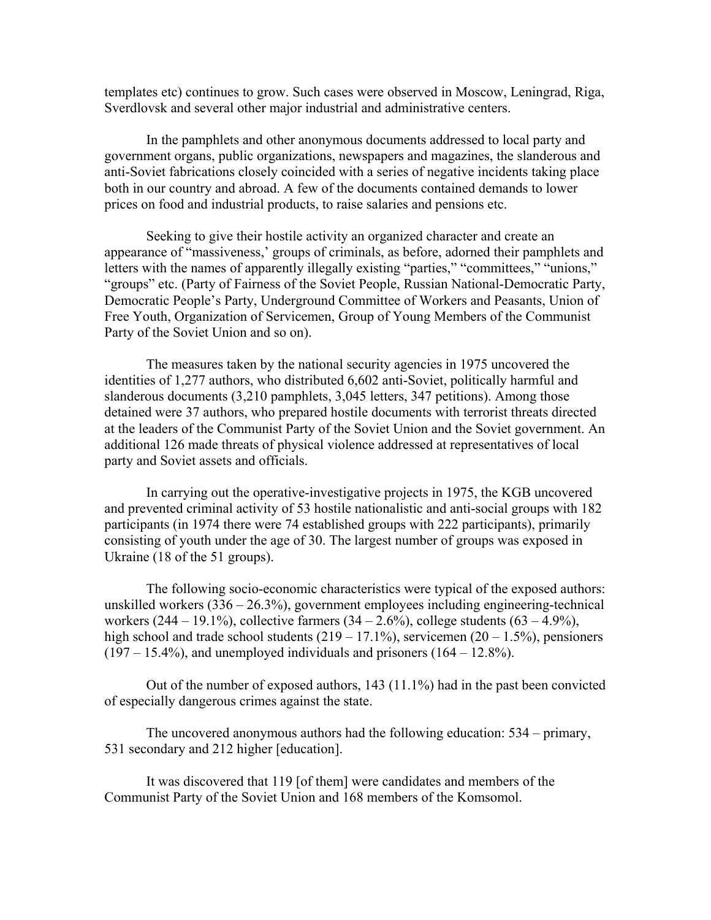templates etc) continues to grow. Such cases were observed in Moscow, Leningrad, Riga, Sverdlovsk and several other major industrial and administrative centers.

 In the pamphlets and other anonymous documents addressed to local party and government organs, public organizations, newspapers and magazines, the slanderous and anti-Soviet fabrications closely coincided with a series of negative incidents taking place both in our country and abroad. A few of the documents contained demands to lower prices on food and industrial products, to raise salaries and pensions etc.

 Seeking to give their hostile activity an organized character and create an appearance of "massiveness,' groups of criminals, as before, adorned their pamphlets and letters with the names of apparently illegally existing "parties," "committees," "unions," "groups" etc. (Party of Fairness of the Soviet People, Russian National-Democratic Party, Democratic People's Party, Underground Committee of Workers and Peasants, Union of Free Youth, Organization of Servicemen, Group of Young Members of the Communist Party of the Soviet Union and so on).

 The measures taken by the national security agencies in 1975 uncovered the identities of 1,277 authors, who distributed 6,602 anti-Soviet, politically harmful and slanderous documents (3,210 pamphlets, 3,045 letters, 347 petitions). Among those detained were 37 authors, who prepared hostile documents with terrorist threats directed at the leaders of the Communist Party of the Soviet Union and the Soviet government. An additional 126 made threats of physical violence addressed at representatives of local party and Soviet assets and officials.

 In carrying out the operative-investigative projects in 1975, the KGB uncovered and prevented criminal activity of 53 hostile nationalistic and anti-social groups with 182 participants (in 1974 there were 74 established groups with 222 participants), primarily consisting of youth under the age of 30. The largest number of groups was exposed in Ukraine (18 of the 51 groups).

 The following socio-economic characteristics were typical of the exposed authors: unskilled workers  $(336 - 26.3\%)$ , government employees including engineering-technical workers  $(244 - 19.1\%)$ , collective farmers  $(34 - 2.6\%)$ , college students  $(63 - 4.9\%)$ , high school and trade school students  $(219 - 17.1\%)$ , servicemen  $(20 - 1.5\%)$ , pensioners  $(197 – 15.4%)$ , and unemployed individuals and prisoners  $(164 – 12.8%)$ .

Out of the number of exposed authors,  $143$  ( $11.1\%$ ) had in the past been convicted of especially dangerous crimes against the state.

 The uncovered anonymous authors had the following education: 534 – primary, 531 secondary and 212 higher [education].

 It was discovered that 119 [of them] were candidates and members of the Communist Party of the Soviet Union and 168 members of the Komsomol.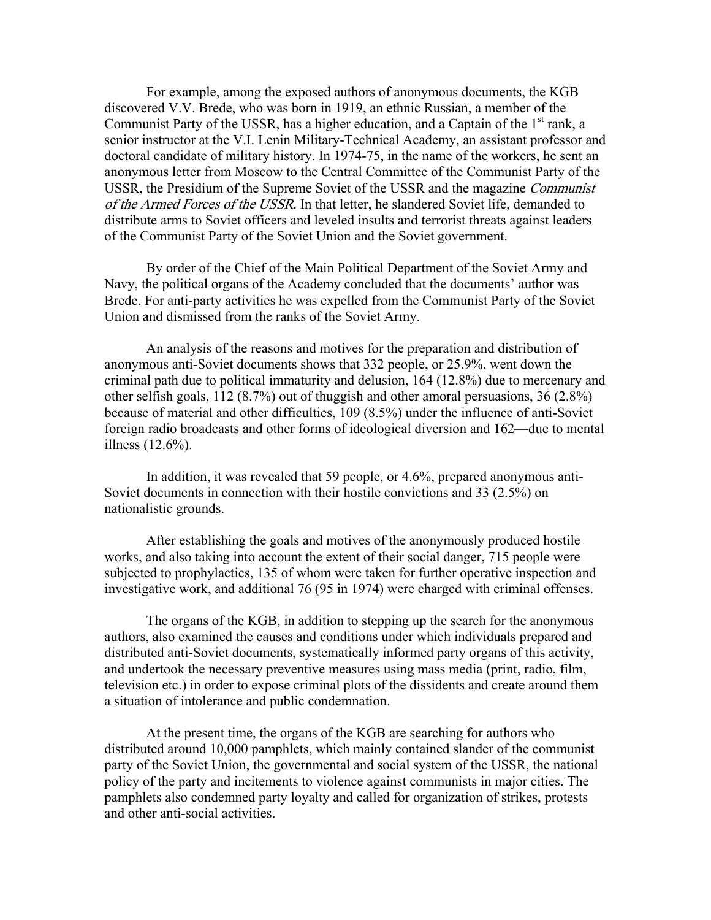For example, among the exposed authors of anonymous documents, the KGB discovered V.V. Brede, who was born in 1919, an ethnic Russian, a member of the Communist Party of the USSR, has a higher education, and a Captain of the  $1<sup>st</sup>$  rank, a senior instructor at the V.I. Lenin Military-Technical Academy, an assistant professor and doctoral candidate of military history. In 1974-75, in the name of the workers, he sent an anonymous letter from Moscow to the Central Committee of the Communist Party of the USSR, the Presidium of the Supreme Soviet of the USSR and the magazine Communist of the Armed Forces of the USSR. In that letter, he slandered Soviet life, demanded to distribute arms to Soviet officers and leveled insults and terrorist threats against leaders of the Communist Party of the Soviet Union and the Soviet government.

 By order of the Chief of the Main Political Department of the Soviet Army and Navy, the political organs of the Academy concluded that the documents' author was Brede. For anti-party activities he was expelled from the Communist Party of the Soviet Union and dismissed from the ranks of the Soviet Army.

 An analysis of the reasons and motives for the preparation and distribution of anonymous anti-Soviet documents shows that 332 people, or 25.9%, went down the criminal path due to political immaturity and delusion, 164 (12.8%) due to mercenary and other selfish goals, 112 (8.7%) out of thuggish and other amoral persuasions, 36 (2.8%) because of material and other difficulties, 109 (8.5%) under the influence of anti-Soviet foreign radio broadcasts and other forms of ideological diversion and 162—due to mental illness (12.6%).

 In addition, it was revealed that 59 people, or 4.6%, prepared anonymous anti-Soviet documents in connection with their hostile convictions and 33 (2.5%) on nationalistic grounds.

 After establishing the goals and motives of the anonymously produced hostile works, and also taking into account the extent of their social danger, 715 people were subjected to prophylactics, 135 of whom were taken for further operative inspection and investigative work, and additional 76 (95 in 1974) were charged with criminal offenses.

 The organs of the KGB, in addition to stepping up the search for the anonymous authors, also examined the causes and conditions under which individuals prepared and distributed anti-Soviet documents, systematically informed party organs of this activity, and undertook the necessary preventive measures using mass media (print, radio, film, television etc.) in order to expose criminal plots of the dissidents and create around them a situation of intolerance and public condemnation.

 At the present time, the organs of the KGB are searching for authors who distributed around 10,000 pamphlets, which mainly contained slander of the communist party of the Soviet Union, the governmental and social system of the USSR, the national policy of the party and incitements to violence against communists in major cities. The pamphlets also condemned party loyalty and called for organization of strikes, protests and other anti-social activities.